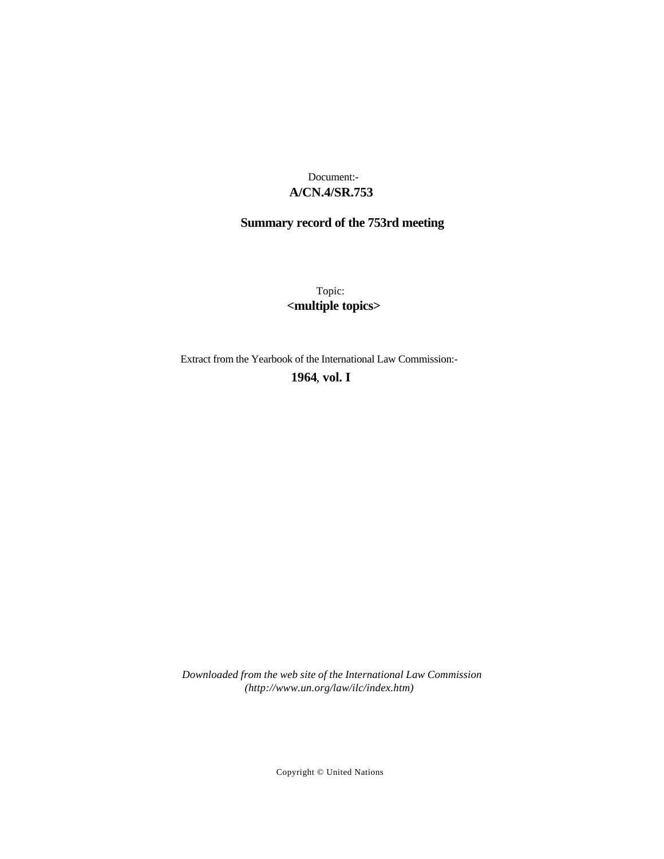## **A/CN.4/SR.753** Document:-

# **Summary record of the 753rd meeting**

Topic: **<multiple topics>**

Extract from the Yearbook of the International Law Commission:-

**1964** , **vol. I**

*Downloaded from the web site of the International Law Commission (http://www.un.org/law/ilc/index.htm)*

Copyright © United Nations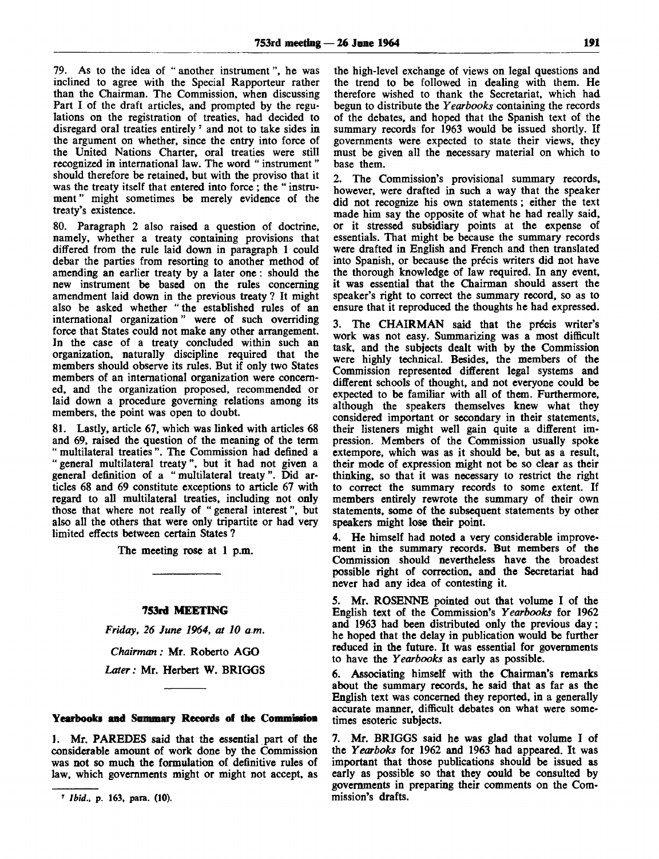79. As to the idea of " another instrument", he was inclined to agree with the Special Rapporteur rather than the Chairman. The Commission, when discussing Part I of the draft articles, and prompted by the regulations on the registration of treaties, had decided to disregard oral treaties entirely <sup>7</sup> and not to take sides in the argument on whether, since the entry into force of the United Nations Charter, oral treaties were still recognized in international law. The word " instrument" should therefore be retained, but with the proviso that it was the treaty itself that entered into force ; the " instrument" might sometimes be merely evidence of the treaty's existence.

80. Paragraph 2 also raised a question of doctrine, namely, whether a treaty containing provisions that differed from the rule laid down in paragraph 1 could debar the parties from resorting to another method of amending an earlier treaty by a later one: should the new instrument be based on the rules concerning amendment laid down in the previous treaty ? It might also be asked whether " the established rules of an international organization" were of such overriding force that States could not make any other arrangement. In the case of a treaty concluded within such an organization, naturally discipline required that the members should observe its rules. But if only two States members of an international organization were concerned, and the organization proposed, recommended or laid down a procedure governing relations among its members, the point was open to doubt.

81. Lastly, article 67, which was linked with articles 68 and 69, raised the question of the meaning of the term " multilateral treaties ". The Commission had defined a " general multilateral treaty ", but it had not given a general definition of a " multilateral treaty". Did articles 68 and 69 constitute exceptions to article 67 with regard to all multilateral treaties, including not only those that where not really of " general interest", but also all the others that were only tripartite or had very limited effects between certain States ?

The meeting rose at 1 p.m.

## **753rd MEETING**

*Friday, 26 June 1964, at 10 a.m. Chairman:* Mr. Roberto AGO *Later:* Mr. Herbert W. BRIGGS

#### **Yearbooks and Summary Records of the Commission**

1. Mr. PAREDES said that the essential part of the considerable amount of work done by the Commission was not so much the formulation of definitive rules of law, which governments might or might not accept, as

the high-level exchange of views on legal questions and the trend to be followed in dealing with them. He therefore wished to thank the Secretariat, which had begun to distribute the *Yearbooks* containing the records of the debates, and hoped that the Spanish text of the summary records for 1963 would be issued shortly. If governments were expected to state their views, they must be given all the necessary material on which to base them.

2. The Commission's provisional summary records, however, were drafted in such a way that the speaker did not recognize his own statements ; either the text made him say the opposite of what he had really said, or it stressed subsidiary points at the expense of essentials. That might be because the summary records were drafted in English and French and then translated into Spanish, or because the précis writers did not have the thorough knowledge of law required. In any event, it was essential that the Chairman should assert the speaker's right to correct the summary record, so as to ensure that it reproduced the thoughts he had expressed.

3. The CHAIRMAN said that the précis writer's work was not easy. Summarizing was a most difficult task, and the subjects dealt with by the Commission were highly technical. Besides, the members of the Commission represented different legal systems and different schools of thought, and not everyone could be expected to be familiar with all of them. Furthermore, although the speakers themselves knew what they considered important or secondary in their statements, their listeners might well gain quite a different impression. Members of the Commission usually spoke extempore, which was as it should be, but as a result, their mode of expression might not be so clear as their thinking, so that it was necessary to restrict the right to correct the summary records to some extent. If members entirely rewrote the summary of their own statements, some of the subsequent statements by other speakers might lose their point.

4. He himself had noted a very considerable improvement in the summary records. But members of the Commission should nevertheless have the broadest possible right of correction, and the Secretariat had never had any idea of contesting it.

5. Mr. ROSENNE pointed out that volume I of the English text of the Commission's *Yearbooks* for 1962 and 1963 had been distributed only the previous day; he hoped that the delay in publication would be further reduced in the future. It was essential for governments to have the *Yearbooks* as early as possible.

6. Associating himself with the Chairman's remarks about the summary records, he said that as far as the English text was concerned they reported, in a generally accurate manner, difficult debates on what were sometimes esoteric subjects.

7. Mr. BRIGGS said he was glad that volume I of the *Yearboks* for 1962 and 1963 had appeared. It was important that those publications should be issued as early as possible so that they could be consulted by governments in preparing their comments on the Commission's drafts.

*<sup>7</sup> Ibid.,* **p. 163, para. (10).**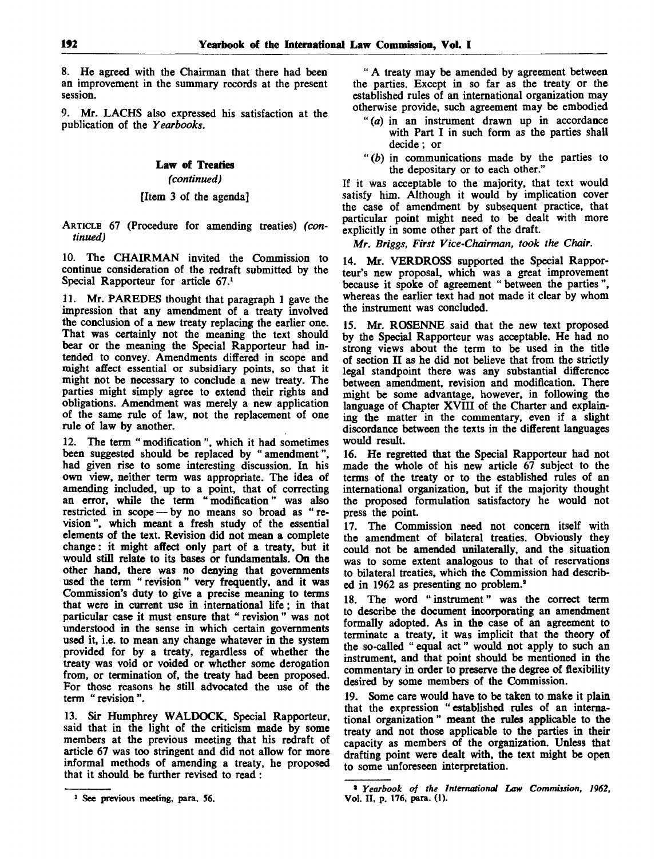8. He agreed with the Chairman that there had been an improvement in the summary records at the present session.

9. Mr. LACHS also expressed his satisfaction at the publication of the *Yearbooks.*

## **Law of Treaties**

### *(continued)*

## [Item 3 of the agenda]

ARTICLE 67 (Procedure for amending treaties) *(continued)*

10. The CHAIRMAN invited the Commission to continue consideration of the redraft submitted by the Special Rapporteur for article 67.<sup>1</sup>

11. Mr. PAREDES thought that paragraph 1 gave the impression that any amendment of a treaty involved the conclusion of a new treaty replacing the earlier one. That was certainly not the meaning the text should bear or the meaning the Special Rapporteur had intended to convey. Amendments differed in scope and might affect essential or subsidiary points, so that it might not be necessary to conclude a new treaty. The parties might simply agree to extend their rights and obligations. Amendment was merely a new application of the same rule of law, not the replacement of one rule of law by another.

12. The term " modification ", which it had sometimes been suggested should be replaced by "amendment", had given rise to some interesting discussion. In his own view, neither term was appropriate. The idea of amending included, up to a point, that of correcting an error, while the term "modification" was also restricted in scope — by no means so broad as "revision ", which meant a fresh study of the essential elements of the text. Revision did not mean a complete change: it might affect only part of a treaty, but it would still relate to its bases or fundamentals. On the other hand, there was no denying that governments used the term "revision" very frequently, and it was Commission's duty to give a precise meaning to terms that were in current use in international life; in that particular case it must ensure that " revision " was not understood in the sense in which certain governments used it, i.e. to mean any change whatever in the system provided for by a treaty, regardless of whether the treaty was void or voided or whether some derogation from, or termination of, the treaty had been proposed. For those reasons he still advocated the use of the term "revision".

13. Sir Humphrey WALDOCK, Special Rapporteur, said that in the light of the criticism made by some members at the previous meeting that his redraft of article 67 was too stringent and did not allow for more informal methods of amending a treaty, he proposed that it should be further revised to read :

" A treaty may be amended by agreement between the parties. Except in so far as the treaty or the established rules of an international organization may otherwise provide, such agreement may be embodied

- " *(a)* in an instrument drawn up in accordance with Part I in such form as the parties shall decide; or
- *"(b)* in communications made by the parties to the depositary or to each other."

If it was acceptable to the majority, that text would satisfy him. Although it would by implication cover the case of amendment by subsequent practice, that particular point might need to be dealt with more explicitly in some other part of the draft.

*Mr. Briggs, First Vice-Chairman, took the Chair.*

14. Mr. VERDROSS supported the Special Rapporteur's new proposal, which was a great improvement because it spoke of agreement " between the parties ", whereas the earlier text had not made it clear by whom the instrument was concluded.

15. Mr. ROSENNE said that the new text proposed by the Special Rapporteur was acceptable. He had no strong views about the term to be used in the title of section II as he did not believe that from the strictly legal standpoint there was any substantial difference between amendment, revision and modification. There might be some advantage, however, in following the language of Chapter XVIII of the Charter and explaining the matter in the commentary, even if a slight discordance between the texts in the different languages would result.

16. He regretted that the Special Rapporteur had not made the whole of his new article 67 subject to the terms of the treaty or to the established rules of an international organization, but if the majority thought the proposed formulation satisfactory he would not press the point.

17. The Commission need not concern itself with the amendment of bilateral treaties. Obviously they could not be amended unilaterally, and the situation was to some extent analogous to that of reservations to bilateral treaties, which the Commission had described in 1962 as presenting no problem.<sup>2</sup>

18. The word "instrument" was the correct term to describe the document incorporating an amendment formally adopted. As in the case of an agreement to terminate a treaty, it was implicit that the theory of the so-called " equal act" would not apply to such an instrument, and that point should be mentioned in the commentary in order to preserve the degree of flexibility desired by some members of the Commission.

19. Some care would have to be taken to make it plain that the expression "established rules of an international organization" meant the rules applicable to the treaty and not those applicable to the parties in their capacity as members of the organization. Unless that drafting point were dealt with, the text might be open to some unforeseen interpretation.

**<sup>1</sup> See previous meeting, para. 56.**

**<sup>\*</sup>** *Yearbook of the International Law Commission, 1962,* **Vol. II, p. 176, para. (1).**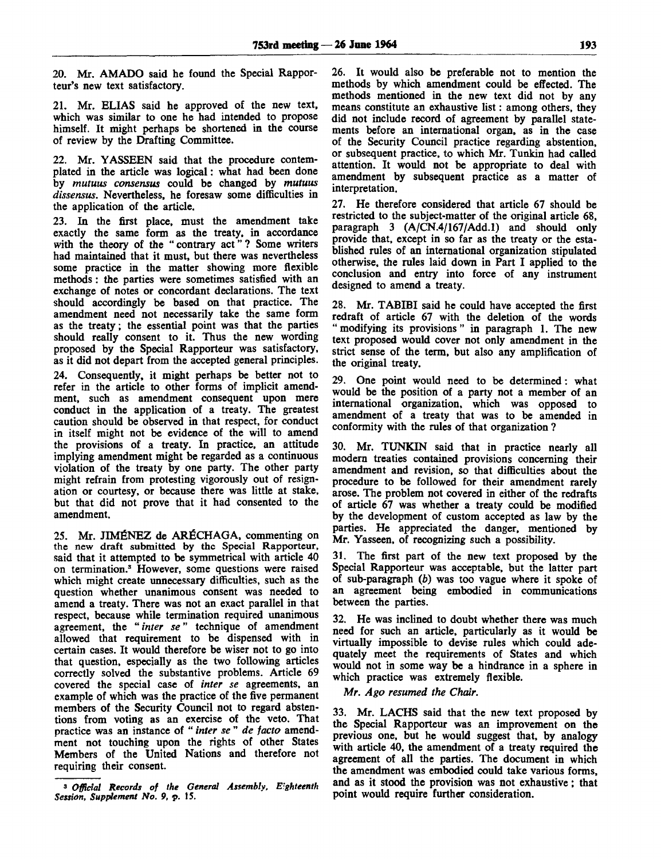20. Mr. AMADO said he found the Special Rapporteur's new text satisfactory.

21. Mr. ELIAS said he approved of the new text, which was similar to one he had intended to propose himself. It might perhaps be shortened in the course of review by the Drafting Committee.

22. Mr. YASSEEN said that the procedure contemplated in the article was logical: what had been done by *mutuus consensus* could be changed by *mutuus dissensus.* Nevertheless, he foresaw some difficulties in the application of the article.

23. In the first place, must the amendment take exactly the same form as the treaty, in accordance with the theory of the " contrary act" ? Some writers had maintained that it must, but there was nevertheless some practice in the matter showing more flexible methods: the parties were sometimes satisfied with an exchange of notes or concordant declarations. The text should accordingly be based on that practice. The amendment need not necessarily take the same form as the treaty; the essential point was that the parties should really consent to it. Thus the new wording proposed by the Special Rapporteur was satisfactory, as it did not depart from the accepted general principles.

24. Consequently, it might perhaps be better not to refer in the article to other forms of implicit amendment, such as amendment consequent upon mere conduct in the application of a treaty. The greatest caution should be observed in that respect, for conduct in itself might not be evidence of the will to amend the provisions of a treaty. In practice, an attitude implying amendment might be regarded as a continuous violation of the treaty by one party. The other party might refrain from protesting vigorously out of resignation or courtesy, or because there was little at stake, but that did not prove that it had consented to the amendment.

25. Mr. JIMENEZ de ARfiCHAGA, commenting on the new draft submitted by the Special Rapporteur, said that it attempted to be symmetrical with article 40 on termination.<sup>3</sup> However, some questions were raised which might create unnecessary difficulties, such as the question whether unanimous consent was needed to amend a treaty. There was not an exact parallel in that respect, because while termination required unanimous agreement, the *"inter se"* technique of amendment allowed that requirement to be dispensed with in certain cases. It would therefore be wiser not to go into that question, especially as the two following articles correctly solved the substantive problems. Article 69 covered the special case of *inter se* agreements, an example of which was the practice of the five permanent members of the Security Council not to regard abstentions from voting as an exercise of the veto. That practice was an instance of " *inter se* " *de facto* amendment not touching upon the rights of other States Members of the United Nations and therefore not requiring their consent.

26. It would also be preferable not to mention the methods by which amendment could be effected. The methods mentioned in the new text did not by any means constitute an exhaustive list: among others, they did not include record of agreement by parallel statements before an international organ, as in the case of the Security Council practice regarding abstention, or subsequent practice, to which Mr. Tunkin had called attention. It would not be appropriate to deal with amendment by subsequent practice as a matter of interpretation.

27. He therefore considered that article 67 should be restricted to the subject-matter of the original article 68, paragraph 3 (A/CN.4/167/Add.l) and should only provide that, except in so far as the treaty or the established rules of an international organization stipulated otherwise, the rules laid down in Part I applied to the conclusion and entry into force of any instrument designed to amend a treaty.

28. Mr. TABIBI said he could have accepted the first redraft of article 67 with the deletion of the words " modifying its provisions " in paragraph 1. The new text proposed would cover not only amendment in the strict sense of the term, but also any amplification of the original treaty.

29. One point would need to be determined: what would be the position of a party not a member of an international organization, which was opposed to amendment of a treaty that was to be amended in conformity with the rules of that organization ?

30. Mr. TUNKIN said that in practice nearly all modern treaties contained provisions concerning their amendment and revision, so that difficulties about the procedure to be followed for their amendment rarely arose. The problem not covered in either of the redrafts of article 67 was whether a treaty could be modified by the development of custom accepted as law by the parties. He appreciated the danger, mentioned by Mr. Yasseen, of recognizing such a possibility.

31. The first part of the new text proposed by the Special Rapporteur was acceptable, but the latter part of sub-paragraph *(b)* was too vague where it spoke of an agreement being embodied in communications between the parties.

32. He was inclined to doubt whether there was much need for such an article, particularly as it would be virtually impossible to devise rules which could adequately meet the requirements of States and which would not in some way be a hindrance in a sphere in which practice was extremely flexible.

*Mr. Ago resumed the Chair.*

33. Mr. LACHS said that the new text proposed by the Special Rapporteur was an improvement on the previous one, but he would suggest that, by analogy with article 40, the amendment of a treaty required the agreement of all the parties. The document in which the amendment was embodied could take various forms, and as it stood the provision was not exhaustive; that point would require further consideration.

**<sup>3</sup>**  *Official Records of the General Assembly, Eighteenth Session, Supplement No. 9, p.* **15.**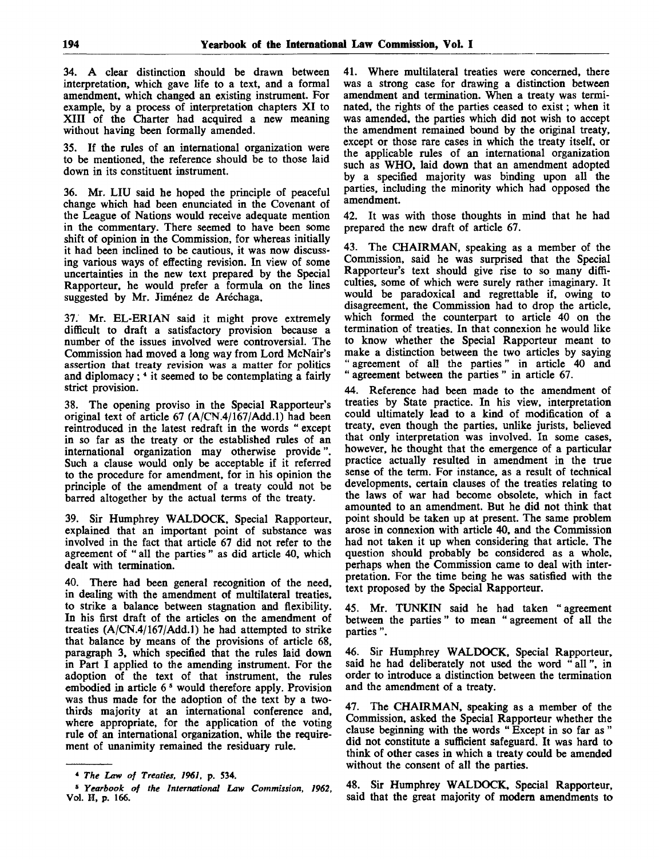34. A clear distinction should be drawn between interpretation, which gave life to a text, and a formal amendment, which changed an existing instrument. For example, by a process of interpretation chapters XI to XIII of the Charter had acquired a new meaning without having been formally amended.

35. If the rules of an international organization were to be mentioned, the reference should be to those laid down in its constituent instrument.

36. Mr. LIU said he hoped the principle of peaceful change which had been enunciated in the Covenant of the League of Nations would receive adequate mention in the commentary. There seemed to have been some shift of opinion in the Commission, for whereas initially it had been inclined to be cautious, it was now discussing various ways of effecting revision. In view of some uncertainties in the new text prepared by the Special Rapporteur, he would prefer a formula on the lines suggested by Mr. Jiménez de Aréchaga.

37. Mr. EL-ERIAN said it might prove extremely difficult to draft a satisfactory provision because a number of the issues involved were controversial. The Commission had moved a long way from Lord McNair's assertion that treaty revision was a matter for politics and diplomacy;  $\frac{4}{3}$  it seemed to be contemplating a fairly strict provision.

38. The opening proviso in the Special Rapporteur's original text of article 67 (A/CN.4/167/Add.l) had been reintroduced in the latest redraft in the words " except in so far as the treaty or the established rules of an international organization may otherwise provide". Such a clause would only be acceptable if it referred to the procedure for amendment, for in his opinion the principle of the amendment of a treaty could not be barred altogether by the actual terms of the treaty.

39. Sir Humphrey WALDOCK, Special Rapporteur, explained that an important point of substance was involved in the fact that article 67 did not refer to the agreement of " all the parties " as did article 40, which dealt with termination.

40. There had been general recognition of the need, in dealing with the amendment of multilateral treaties, to strike a balance between stagnation and flexibility. In his first draft of the articles on the amendment of treaties (A/CN.4/167/Add.l) he had attempted to strike that balance by means of the provisions of article 68, paragraph 3, which specified that the rules laid down in Part I applied to the amending instrument. For the adoption of the text of that instrument, the rules embodied in article 6<sup>5</sup> would therefore apply. Provision was thus made for the adoption of the text by a twothirds majority at an international conference and, where appropriate, for the application of the voting rule of an international organization, while the requirement of unanimity remained the residuary rule.

41. Where multilateral treaties were concerned, there was a strong case for drawing a distinction between amendment and termination. When a treaty was terminated, the rights of the parties ceased to exist; when it was amended, the parties which did not wish to accept the amendment remained bound by the original treaty, except or those rare cases in which the treaty itself, or the applicable rules of an international organization such as WHO, laid down that an amendment adopted by a specified majority was binding upon all the parties, including the minority which had opposed the amendment.

42. It was with those thoughts in mind that he had prepared the new draft of article 67.

43. The CHAIRMAN, speaking as a member of the Commission, said he was surprised that the Special Rapporteur's text should give rise to so many difficulties, some of which were surely rather imaginary. It would be paradoxical and regrettable if, owing to disagreement, the Commission had to drop the article, which formed the counterpart to article 40 on the termination of treaties. In that connexion he would like to know whether the Special Rapporteur meant to make a distinction between the two articles by saying " agreement of all the parties" in article 40 and " agreement between the parties " in article 67.

44. Reference had been made to the amendment of treaties by State practice. In his view, interpretation could ultimately lead to a kind of modification of a treaty, even though the parties, unlike jurists, believed that only interpretation was involved. In some cases, however, he thought that the emergence of a particular practice actually resulted in amendment in the true sense of the term. For instance, as a result of technical developments, certain clauses of the treaties relating to the laws of war had become obsolete, which in fact amounted to an amendment. But he did not think that point should be taken up at present. The same problem arose in connexion with article 40, and the Commission had not taken it up when considering that article. The question should probably be considered as a whole, perhaps when the Commission came to deal with interpretation. For the time being he was satisfied with the text proposed by the Special Rapporteur.

45. Mr. TUNKIN said he had taken "agreement between the parties " to mean " agreement of all the parties ".

46. Sir Humphrey WALDOCK, Special Rapporteur, said he had deliberately not used the word "all", in order to introduce a distinction between the termination and the amendment of a treaty.

47. The CHAIRMAN, speaking as a member of the Commission, asked the Special Rapporteur whether the clause beginning with the words " Except in so far as " did not constitute a sufficient safeguard. It was hard to think of other cases in which a treaty could be amended without the consent of all the parties.

48. Sir Humphrey WALDOCK, Special Rapporteur, said that the great majority of modem amendments to

**<sup>4</sup>**  *The Law of Treaties, 1961,* **p. 534.**

**<sup>5</sup>**  *Yearbook of the International Law Commission, 1962,* **Vol. H, p. 166.**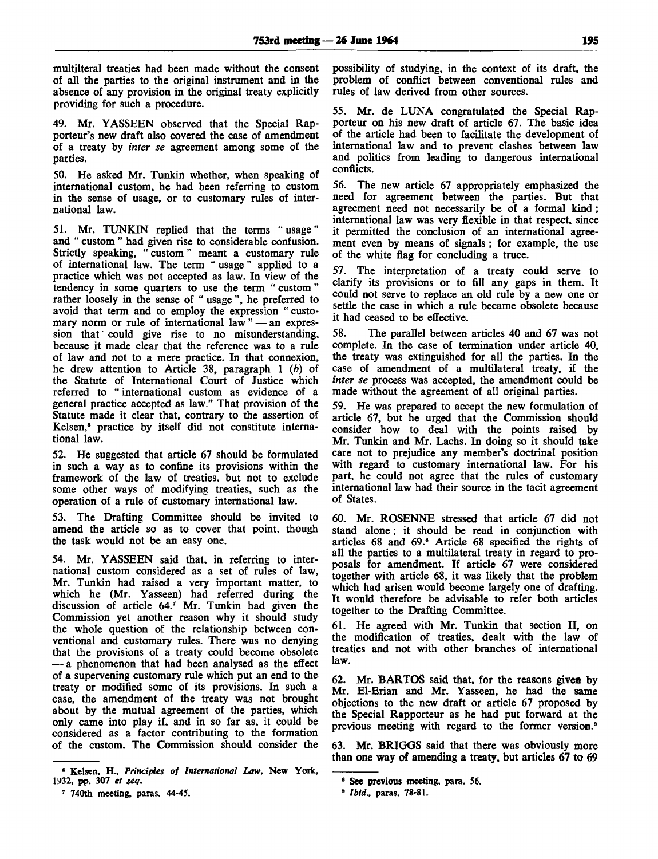multilteral treaties had been made without the consent of all the parties to the original instrument and in the absence of any provision in the original treaty explicitly providing for such a procedure.

49. Mr. YASSEEN observed that the Special Rapporteur's new draft also covered the case of amendment of a treaty by *inter se* agreement among some of the parties.

50. He asked Mr. Tunkin whether, when speaking of international custom, he had been referring to custom in the sense of usage, or to customary rules of international law.

51. Mr. TUNKIN replied that the terms "usage" and " custom " had given rise to considerable confusion. Strictly speaking, " custom" meant a customary rule of international law. The term " usage" applied to a practice which was not accepted as law. In view of the tendency in some quarters to use the term " custom " rather loosely in the sense of " usage ", he preferred to avoid that term and to employ the expression "customary norm or rule of international law " - an expression that could give rise to no misunderstanding, because it made clear that the reference was to a rule of law and not to a mere practice. In that connexion, he drew attention to Article 38, paragraph 1 *(b)* of the Statute of International Court of Justice which referred to " international custom as evidence of a general practice accepted as law." That provision of the Statute made it clear that, contrary to the assertion of Statute made it clear that, contrary to the assertion of<br>Kelsen,<sup>6</sup> practice by itself did not constitute international law.

52. He suggested that article 67 should be formulated in such a way as to confine its provisions within the framework of the law of treaties, but not to exclude some other ways of modifying treaties, such as the operation of a rule of customary international law.

53. The Drafting Committee should be invited to amend the article so as to cover that point, though the task would not be an easy one.

54. Mr. YASSEEN said that, in referring to international custom considered as a set of rules of law, Mr. Tunkin had raised a very important matter, to which he (Mr. Yasseen) had referred during the discussion of article 64.<sup>7</sup> Mr. Tunkin had given the Commission yet another reason why it should study the whole question of the relationship between conventional and customary rules. There was no denying that the provisions of a treaty could become obsolete — a phenomenon that had been analysed as the effect of a supervening customary rule which put an end to the treaty or modified some of its provisions. In such a case, the amendment of the treaty was not brought about by the mutual agreement of the parties, which only came into play if, and in so far as, it could be considered as a factor contributing to the formation of the custom. The Commission should consider the

possibility of studying, in the context of its draft, the problem of conflict between conventional rules and rules of law derived from other sources.

55. Mr. de LUNA congratulated the Special Rapporteur on his new draft of article 67. The basic idea of the article had been to facilitate the development of international law and to prevent clashes between law and politics from leading to dangerous international conflicts.

56. The new article 67 appropriately emphasized the need for agreement between the parties. But that agreement need not necessarily be of a formal kind ; international law was very flexible in that respect, since it permitted the conclusion of an international agreement even by means of signals ; for example, the use of the white flag for concluding a truce.

57. The interpretation of a treaty could serve to clarify its provisions or to fill any gaps in them. It could not serve to replace an old rule by a new one or settle the case in which a rule became obsolete because it had ceased to be effective.

58. The parallel between articles 40 and 67 was not complete. In the case of termination under article 40, the treaty was extinguished for all the parties. In the case of amendment of a multilateral treaty, if the *inter se* process was accepted, the amendment could be made without the agreement of all original parties.

59. He was prepared to accept the new formulation of article 67, but he urged that the Commission should consider how to deal with the points raised by Mr. Tunkin and Mr. Lachs. In doing so it should take care not to prejudice any member's doctrinal position with regard to customary international law. For his part, he could not agree that the rules of customary international law had their source in the tacit agreement of States.

60. Mr. ROSENNE stressed that article 67 did not stand alone; it should be read in conjunction with articles 68 and 69.<sup>8</sup> Article 68 specified the rights of all the parties to a multilateral treaty in regard to proposals for amendment. If article 67 were considered together with article 68, it was likely that the problem which had arisen would become largely one of drafting. It would therefore be advisable to refer both articles together to the Drafting Committee.

61. He agreed with Mr. Tunkin that section II, on the modification of treaties, dealt with the law of treaties and not with other branches of international law.

62. Mr. BARTOS said that, for the reasons given by Mr. El-Erian and Mr. Yasseen, he had the same objections to the new draft or article 67 proposed by the Special Rapporteur as he had put forward at the previous meeting with regard to the former version.<sup>9</sup>

63. Mr. BRIGGS said that there was obviously more than one way of amending a treaty, but articles 67 to 69

<sup>•</sup> Kelsen, H., *Principles of International Law,* New York, 1932, pp. 307 *et seq.*

<sup>7</sup> 740th meeting, paras. 44-45.

<sup>8</sup>  **See previous meeting,** para. 56.

<sup>9</sup>  *Ibid.,* paras. 78-81.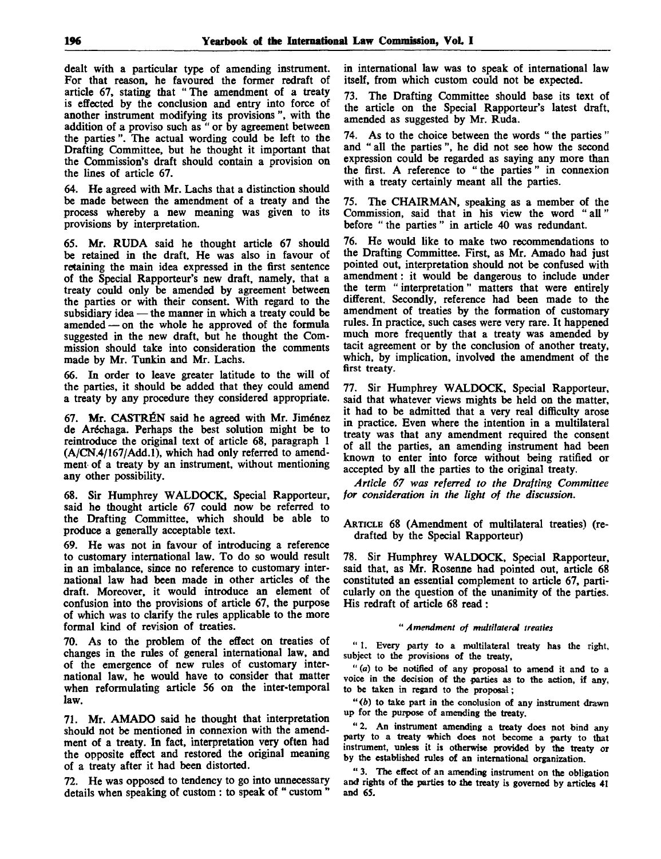dealt with a particular type of amending instrument. For that reason, he favoured the former redraft of article 67, stating that "The amendment of a treaty is effected by the conclusion and entry into force of another instrument modifying its provisions ", with the addition of a proviso such as " or by agreement between the parties ". The actual wording could be left to the Drafting Committee, but he thought it important that the Commission's draft should contain a provision on the lines of article 67.

64. He agreed with Mr. Lachs that a distinction should be made between the amendment of a treaty and the process whereby a new meaning was given to its provisions by interpretation.

65. Mr. RUDA said he thought article 67 should be retained in the draft. He was also in favour of retaining the main idea expressed in the first sentence of the Special Rapporteur's new draft, namely, that a treaty could only be amended by agreement between the parties or with their consent. With regard to the subsidiary idea — the manner in which a treaty could be amended — on the whole he approved of the formula suggested in the new draft, but he thought the Commission should take into consideration the comments made by Mr. Tunkin and Mr. Lachs.

66. In order to leave greater latitude to the will of the parties, it should be added that they could amend a treaty by any procedure they considered appropriate.

67. Mr. CASTRÉN said he agreed with Mr. Jiménez de Aréchaga. Perhaps the best solution might be to reintroduce the original text of article 68, paragraph 1 (A/CN.4/167/Add.l), which had only referred to amendment of a treaty by an instrument, without mentioning any other possibility.

68. Sir Humphrey WALDOCK, Special Rapporteur, said he thought article 67 could now be referred to the Drafting Committee, which should be able to produce a generally acceptable text.

69. He was not in favour of introducing a reference to customary international law. To do so would result in an imbalance, since no reference to customary international law had been made in other articles of the draft. Moreover, it would introduce an element of confusion into the provisions of article 67, the purpose of which was to clarify the rules applicable to the more formal kind of revision of treaties.

70. As to the problem of the effect on treaties of changes in the rules of general international law, and of the emergence of new rules of customary international law, he would have to consider that matter when reformulating article 56 on the inter-temporal law.

71. Mr. AMADO said he thought that interpretation should not be mentioned in connexion with the amendment of a treaty. In fact, interpretation very often had the opposite effect and restored the original meaning of a treaty after it had been distorted.

72. He was opposed to tendency to go into unnecessary details when speaking of custom : to speak of " custom "

in international law was to speak of international law itself, from which custom could not be expected.

73. The Drafting Committee should base its text of the article on the Special Rapporteur's latest draft, amended as suggested by Mr. Ruda.

74. As to the choice between the words " the parties " and " all the parties ", he did not see how the second expression could be regarded as saying any more than the first. A reference to " the parties" in connexion with a treaty certainly meant all the parties.

75. The CHAIRMAN, speaking as a member of the Commission, said that in his view the word " all" before " the parties " in article 40 was redundant.

76. He would like to make two recommendations to the Drafting Committee. First, as Mr. Amado had just pointed out, interpretation should not be confused with amendment: it would be dangerous to include under the term " interpretation" matters that were entirely different. Secondly, reference had been made to the amendment of treaties by the formation of customary rules. In practice, such cases were very rare. It happened much more frequently that a treaty was amended by tacit agreement or by the conclusion of another treaty, which, by implication, involved the amendment of the first treaty.

77. Sir Humphrey WALDOCK, Special Rapporteur, said that whatever views mights be held on the matter, it had to be admitted that a very real difficulty arose in practice. Even where the intention in a multilateral treaty was that any amendment required the consent of all the parties, an amending instrument had been known to enter into force without being ratified or accepted by all the parties to the original treaty.

*Article 67 was referred to the Drafting Committee for consideration in the light of the discussion.*

ARTICLE 68 (Amendment of multilateral treaties) (redrafted by the Special Rapporteur)

78. Sir Humphrey WALDOCK, Special Rapporteur, said that, as Mr. Rosenne had pointed out, article 68 constituted an essential complement to article 67, particularly on the question of the unanimity of the parties. His redraft of article 68 read:

### " *Amendment of multilateral treaties*

*"* 1. Every party to a multilateral treaty has the right, subject to the provisions of the treaty,

" *(a)* to be notified of any proposal to amend it and to a voice in the decision of the parties as to the action, if any, to be taken in regard to the proposal;

" *(b)* to take part in the conclusion of any instrument drawn up for the purpose of amending the treaty.

" 2. An instrument amending a treaty does not bind any party to a treaty which does not become a party to that instrument, unless it is otherwise provided by the treaty or by the established rules of an international organization.

" 3. The effect of an amending instrument on the obligation and rights of the parties to **the** treaty is governed by articles 41 and 65.